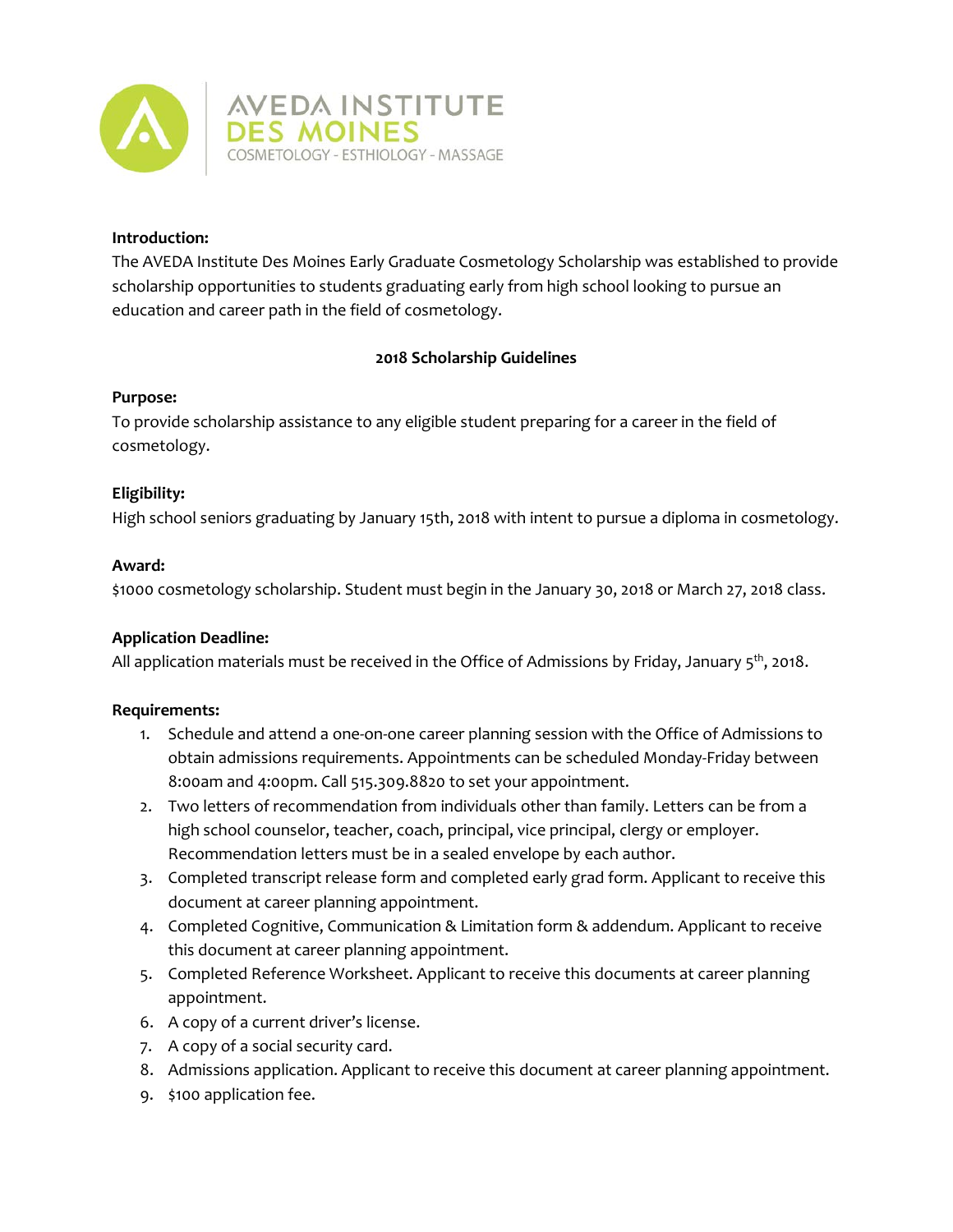

### **Introduction:**

The AVEDA Institute Des Moines Early Graduate Cosmetology Scholarship was established to provide scholarship opportunities to students graduating early from high school looking to pursue an education and career path in the field of cosmetology.

# **2018 Scholarship Guidelines**

### **Purpose:**

To provide scholarship assistance to any eligible student preparing for a career in the field of cosmetology.

## **Eligibility:**

High school seniors graduating by January 15th, 2018 with intent to pursue a diploma in cosmetology.

### **Award:**

\$1000 cosmetology scholarship. Student must begin in the January 30, 2018 or March 27, 2018 class.

## **Application Deadline:**

All application materials must be received in the Office of Admissions by Friday, January  $5<sup>th</sup>$ , 2018.

## **Requirements:**

- 1. Schedule and attend a one-on-one career planning session with the Office of Admissions to obtain admissions requirements. Appointments can be scheduled Monday-Friday between 8:00am and 4:00pm. Call 515.309.8820 to set your appointment.
- 2. Two letters of recommendation from individuals other than family. Letters can be from a high school counselor, teacher, coach, principal, vice principal, clergy or employer. Recommendation letters must be in a sealed envelope by each author.
- 3. Completed transcript release form and completed early grad form. Applicant to receive this document at career planning appointment.
- 4. Completed Cognitive, Communication & Limitation form & addendum. Applicant to receive this document at career planning appointment.
- 5. Completed Reference Worksheet. Applicant to receive this documents at career planning appointment.
- 6. A copy of a current driver's license.
- 7. A copy of a social security card.
- 8. Admissions application. Applicant to receive this document at career planning appointment.
- 9. \$100 application fee.